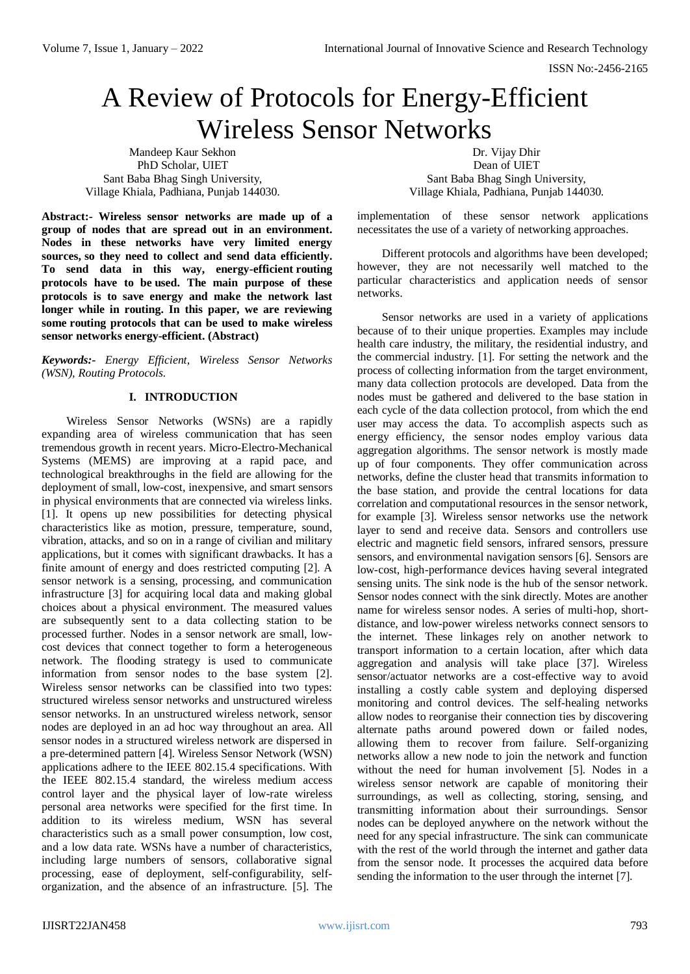# A Review of Protocols for Energy-Efficient Wireless Sensor Networks

Mandeep Kaur Sekhon PhD Scholar, UIET Sant Baba Bhag Singh University, Village Khiala, Padhiana, Punjab 144030.

**Abstract:- Wireless sensor networks are made up of a group of nodes that are spread out in an environment. Nodes in these networks have very limited energy sources, so they need to collect and send data efficiently. To send data in this way, energy-efficient routing protocols have to be used. The main purpose of these protocols is to save energy and make the network last longer while in routing. In this paper, we are reviewing some routing protocols that can be used to make wireless sensor networks energy-efficient. (Abstract)**

*Keywords:- Energy Efficient, Wireless Sensor Networks (WSN), Routing Protocols.*

# **I. INTRODUCTION**

Wireless Sensor Networks (WSNs) are a rapidly expanding area of wireless communication that has seen tremendous growth in recent years. Micro-Electro-Mechanical Systems (MEMS) are improving at a rapid pace, and technological breakthroughs in the field are allowing for the deployment of small, low-cost, inexpensive, and smart sensors in physical environments that are connected via wireless links. [1]. It opens up new possibilities for detecting physical characteristics like as motion, pressure, temperature, sound, vibration, attacks, and so on in a range of civilian and military applications, but it comes with significant drawbacks. It has a finite amount of energy and does restricted computing [2]. A sensor network is a sensing, processing, and communication infrastructure [3] for acquiring local data and making global choices about a physical environment. The measured values are subsequently sent to a data collecting station to be processed further. Nodes in a sensor network are small, lowcost devices that connect together to form a heterogeneous network. The flooding strategy is used to communicate information from sensor nodes to the base system [2]. Wireless sensor networks can be classified into two types: structured wireless sensor networks and unstructured wireless sensor networks. In an unstructured wireless network, sensor nodes are deployed in an ad hoc way throughout an area. All sensor nodes in a structured wireless network are dispersed in a pre-determined pattern [4]. Wireless Sensor Network (WSN) applications adhere to the IEEE 802.15.4 specifications. With the IEEE 802.15.4 standard, the wireless medium access control layer and the physical layer of low-rate wireless personal area networks were specified for the first time. In addition to its wireless medium, WSN has several characteristics such as a small power consumption, low cost, and a low data rate. WSNs have a number of characteristics, including large numbers of sensors, collaborative signal processing, ease of deployment, self-configurability, selforganization, and the absence of an infrastructure. [5]. The

Dr. Vijay Dhir Dean of UIET Sant Baba Bhag Singh University, Village Khiala, Padhiana, Punjab 144030.

implementation of these sensor network applications necessitates the use of a variety of networking approaches.

Different protocols and algorithms have been developed; however, they are not necessarily well matched to the particular characteristics and application needs of sensor networks.

Sensor networks are used in a variety of applications because of to their unique properties. Examples may include health care industry, the military, the residential industry, and the commercial industry. [1]. For setting the network and the process of collecting information from the target environment, many data collection protocols are developed. Data from the nodes must be gathered and delivered to the base station in each cycle of the data collection protocol, from which the end user may access the data. To accomplish aspects such as energy efficiency, the sensor nodes employ various data aggregation algorithms. The sensor network is mostly made up of four components. They offer communication across networks, define the cluster head that transmits information to the base station, and provide the central locations for data correlation and computational resources in the sensor network, for example [3]. Wireless sensor networks use the network layer to send and receive data. Sensors and controllers use electric and magnetic field sensors, infrared sensors, pressure sensors, and environmental navigation sensors [6]. Sensors are low-cost, high-performance devices having several integrated sensing units. The sink node is the hub of the sensor network. Sensor nodes connect with the sink directly. Motes are another name for wireless sensor nodes. A series of multi-hop, shortdistance, and low-power wireless networks connect sensors to the internet. These linkages rely on another network to transport information to a certain location, after which data aggregation and analysis will take place [37]. Wireless sensor/actuator networks are a cost-effective way to avoid installing a costly cable system and deploying dispersed monitoring and control devices. The self-healing networks allow nodes to reorganise their connection ties by discovering alternate paths around powered down or failed nodes, allowing them to recover from failure. Self-organizing networks allow a new node to join the network and function without the need for human involvement [5]. Nodes in a wireless sensor network are capable of monitoring their surroundings, as well as collecting, storing, sensing, and transmitting information about their surroundings. Sensor nodes can be deployed anywhere on the network without the need for any special infrastructure. The sink can communicate with the rest of the world through the internet and gather data from the sensor node. It processes the acquired data before sending the information to the user through the internet [7].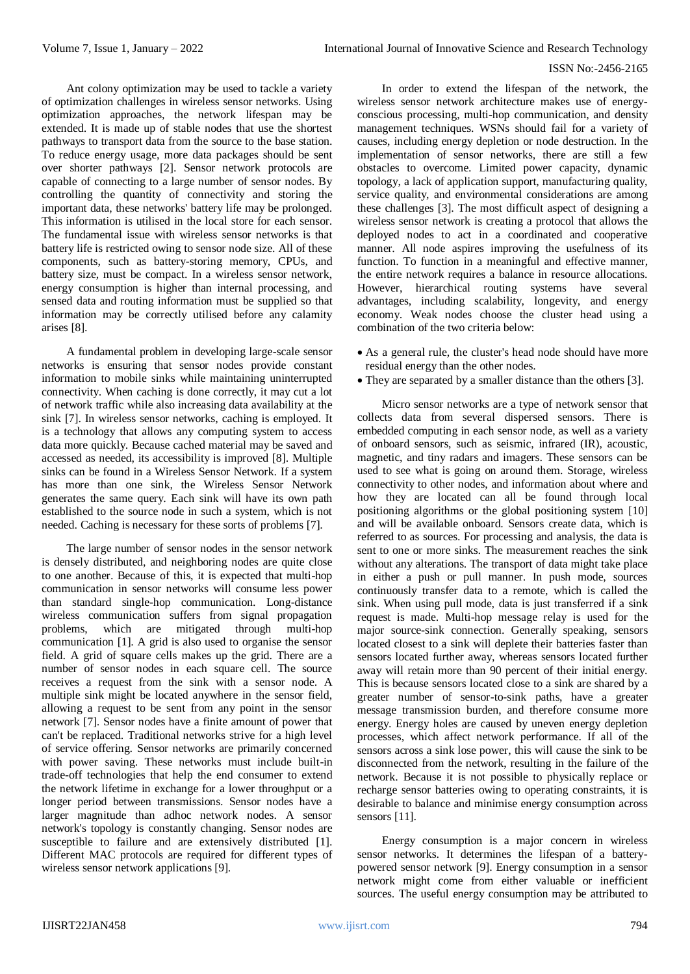Ant colony optimization may be used to tackle a variety of optimization challenges in wireless sensor networks. Using optimization approaches, the network lifespan may be extended. It is made up of stable nodes that use the shortest pathways to transport data from the source to the base station. To reduce energy usage, more data packages should be sent over shorter pathways [2]. Sensor network protocols are capable of connecting to a large number of sensor nodes. By controlling the quantity of connectivity and storing the important data, these networks' battery life may be prolonged. This information is utilised in the local store for each sensor. The fundamental issue with wireless sensor networks is that battery life is restricted owing to sensor node size. All of these components, such as battery-storing memory, CPUs, and battery size, must be compact. In a wireless sensor network, energy consumption is higher than internal processing, and sensed data and routing information must be supplied so that information may be correctly utilised before any calamity arises [8].

A fundamental problem in developing large-scale sensor networks is ensuring that sensor nodes provide constant information to mobile sinks while maintaining uninterrupted connectivity. When caching is done correctly, it may cut a lot of network traffic while also increasing data availability at the sink [7]. In wireless sensor networks, caching is employed. It is a technology that allows any computing system to access data more quickly. Because cached material may be saved and accessed as needed, its accessibility is improved [8]. Multiple sinks can be found in a Wireless Sensor Network. If a system has more than one sink, the Wireless Sensor Network generates the same query. Each sink will have its own path established to the source node in such a system, which is not needed. Caching is necessary for these sorts of problems [7].

The large number of sensor nodes in the sensor network is densely distributed, and neighboring nodes are quite close to one another. Because of this, it is expected that multi-hop communication in sensor networks will consume less power than standard single-hop communication. Long-distance wireless communication suffers from signal propagation problems, which are mitigated through multi-hop communication [1]. A grid is also used to organise the sensor field. A grid of square cells makes up the grid. There are a number of sensor nodes in each square cell. The source receives a request from the sink with a sensor node. A multiple sink might be located anywhere in the sensor field, allowing a request to be sent from any point in the sensor network [7]. Sensor nodes have a finite amount of power that can't be replaced. Traditional networks strive for a high level of service offering. Sensor networks are primarily concerned with power saving. These networks must include built-in trade-off technologies that help the end consumer to extend the network lifetime in exchange for a lower throughput or a longer period between transmissions. Sensor nodes have a larger magnitude than adhoc network nodes. A sensor network's topology is constantly changing. Sensor nodes are susceptible to failure and are extensively distributed [1]. Different MAC protocols are required for different types of wireless sensor network applications [9].

In order to extend the lifespan of the network, the wireless sensor network architecture makes use of energyconscious processing, multi-hop communication, and density management techniques. WSNs should fail for a variety of causes, including energy depletion or node destruction. In the implementation of sensor networks, there are still a few obstacles to overcome. Limited power capacity, dynamic topology, a lack of application support, manufacturing quality, service quality, and environmental considerations are among these challenges [3]. The most difficult aspect of designing a wireless sensor network is creating a protocol that allows the deployed nodes to act in a coordinated and cooperative manner. All node aspires improving the usefulness of its function. To function in a meaningful and effective manner, the entire network requires a balance in resource allocations. However, hierarchical routing systems have several advantages, including scalability, longevity, and energy economy. Weak nodes choose the cluster head using a combination of the two criteria below:

- As a general rule, the cluster's head node should have more residual energy than the other nodes.
- They are separated by a smaller distance than the others [3].

Micro sensor networks are a type of network sensor that collects data from several dispersed sensors. There is embedded computing in each sensor node, as well as a variety of onboard sensors, such as seismic, infrared (IR), acoustic, magnetic, and tiny radars and imagers. These sensors can be used to see what is going on around them. Storage, wireless connectivity to other nodes, and information about where and how they are located can all be found through local positioning algorithms or the global positioning system [10] and will be available onboard. Sensors create data, which is referred to as sources. For processing and analysis, the data is sent to one or more sinks. The measurement reaches the sink without any alterations. The transport of data might take place in either a push or pull manner. In push mode, sources continuously transfer data to a remote, which is called the sink. When using pull mode, data is just transferred if a sink request is made. Multi-hop message relay is used for the major source-sink connection. Generally speaking, sensors located closest to a sink will deplete their batteries faster than sensors located further away, whereas sensors located further away will retain more than 90 percent of their initial energy. This is because sensors located close to a sink are shared by a greater number of sensor-to-sink paths, have a greater message transmission burden, and therefore consume more energy. Energy holes are caused by uneven energy depletion processes, which affect network performance. If all of the sensors across a sink lose power, this will cause the sink to be disconnected from the network, resulting in the failure of the network. Because it is not possible to physically replace or recharge sensor batteries owing to operating constraints, it is desirable to balance and minimise energy consumption across sensors [11].

Energy consumption is a major concern in wireless sensor networks. It determines the lifespan of a batterypowered sensor network [9]. Energy consumption in a sensor network might come from either valuable or inefficient sources. The useful energy consumption may be attributed to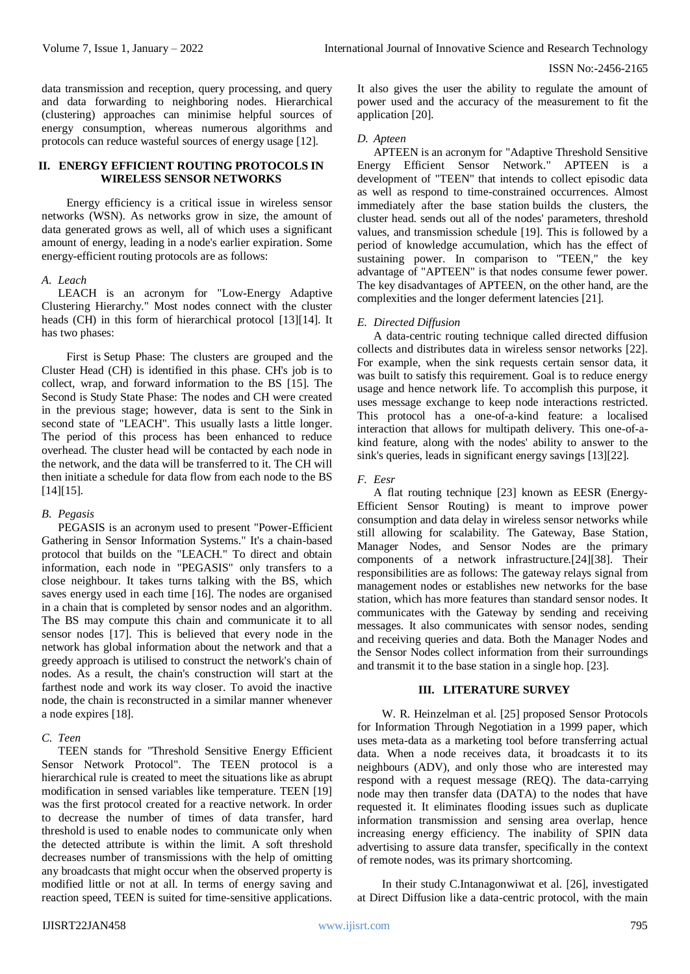data transmission and reception, query processing, and query and data forwarding to neighboring nodes. Hierarchical (clustering) approaches can minimise helpful sources of energy consumption, whereas numerous algorithms and protocols can reduce wasteful sources of energy usage [12].

# **II. ENERGY EFFICIENT ROUTING PROTOCOLS IN WIRELESS SENSOR NETWORKS**

Energy efficiency is a critical issue in wireless sensor networks (WSN). As networks grow in size, the amount of data generated grows as well, all of which uses a significant amount of energy, leading in a node's earlier expiration. Some energy-efficient routing protocols are as follows:

#### *A. Leach*

LEACH is an acronym for "Low-Energy Adaptive Clustering Hierarchy." Most nodes connect with the cluster heads (CH) in this form of hierarchical protocol [13][14]. It has two phases:

First is Setup Phase: The clusters are grouped and the Cluster Head (CH) is identified in this phase. CH's job is to collect, wrap, and forward information to the BS [15]. The Second is Study State Phase: The nodes and CH were created in the previous stage; however, data is sent to the Sink in second state of "LEACH". This usually lasts a little longer. The period of this process has been enhanced to reduce overhead. The cluster head will be contacted by each node in the network, and the data will be transferred to it. The CH will then initiate a schedule for data flow from each node to the BS [14][15].

#### *B. Pegasis*

PEGASIS is an acronym used to present "Power-Efficient Gathering in Sensor Information Systems." It's a chain-based protocol that builds on the "LEACH." To direct and obtain information, each node in "PEGASIS" only transfers to a close neighbour. It takes turns talking with the BS, which saves energy used in each time [16]. The nodes are organised in a chain that is completed by sensor nodes and an algorithm. The BS may compute this chain and communicate it to all sensor nodes [17]. This is believed that every node in the network has global information about the network and that a greedy approach is utilised to construct the network's chain of nodes. As a result, the chain's construction will start at the farthest node and work its way closer. To avoid the inactive node, the chain is reconstructed in a similar manner whenever a node expires [18].

#### *C. Teen*

TEEN stands for "Threshold Sensitive Energy Efficient Sensor Network Protocol". The TEEN protocol is a hierarchical rule is created to meet the situations like as abrupt modification in sensed variables like temperature. TEEN [19] was the first protocol created for a reactive network. In order to decrease the number of times of data transfer, hard threshold is used to enable nodes to communicate only when the detected attribute is within the limit. A soft threshold decreases number of transmissions with the help of omitting any broadcasts that might occur when the observed property is modified little or not at all. In terms of energy saving and reaction speed, TEEN is suited for time-sensitive applications.

It also gives the user the ability to regulate the amount of power used and the accuracy of the measurement to fit the application [20].

## *D. Apteen*

APTEEN is an acronym for "Adaptive Threshold Sensitive Energy Efficient Sensor Network." APTEEN is a development of "TEEN" that intends to collect episodic data as well as respond to time-constrained occurrences. Almost immediately after the base station builds the clusters, the cluster head. sends out all of the nodes' parameters, threshold values, and transmission schedule [19]. This is followed by a period of knowledge accumulation, which has the effect of sustaining power. In comparison to "TEEN," the key advantage of "APTEEN" is that nodes consume fewer power. The key disadvantages of APTEEN, on the other hand, are the complexities and the longer deferment latencies [21].

## *E. Directed Diffusion*

A data-centric routing technique called directed diffusion collects and distributes data in wireless sensor networks [22]. For example, when the sink requests certain sensor data, it was built to satisfy this requirement. Goal is to reduce energy usage and hence network life. To accomplish this purpose, it uses message exchange to keep node interactions restricted. This protocol has a one-of-a-kind feature: a localised interaction that allows for multipath delivery. This one-of-akind feature, along with the nodes' ability to answer to the sink's queries, leads in significant energy savings [13][22].

# *F. Eesr*

A flat routing technique [23] known as EESR (Energy-Efficient Sensor Routing) is meant to improve power consumption and data delay in wireless sensor networks while still allowing for scalability. The Gateway, Base Station, Manager Nodes, and Sensor Nodes are the primary components of a network infrastructure.[24][38]. Their responsibilities are as follows: The gateway relays signal from management nodes or establishes new networks for the base station, which has more features than standard sensor nodes. It communicates with the Gateway by sending and receiving messages. It also communicates with sensor nodes, sending and receiving queries and data. Both the Manager Nodes and the Sensor Nodes collect information from their surroundings and transmit it to the base station in a single hop. [23].

# **III. LITERATURE SURVEY**

W. R. Heinzelman et al. [25] proposed Sensor Protocols for Information Through Negotiation in a 1999 paper, which uses meta-data as a marketing tool before transferring actual data. When a node receives data, it broadcasts it to its neighbours (ADV), and only those who are interested may respond with a request message (REQ). The data-carrying node may then transfer data (DATA) to the nodes that have requested it. It eliminates flooding issues such as duplicate information transmission and sensing area overlap, hence increasing energy efficiency. The inability of SPIN data advertising to assure data transfer, specifically in the context of remote nodes, was its primary shortcoming.

In their study C.Intanagonwiwat et al. [26], investigated at Direct Diffusion like a data-centric protocol, with the main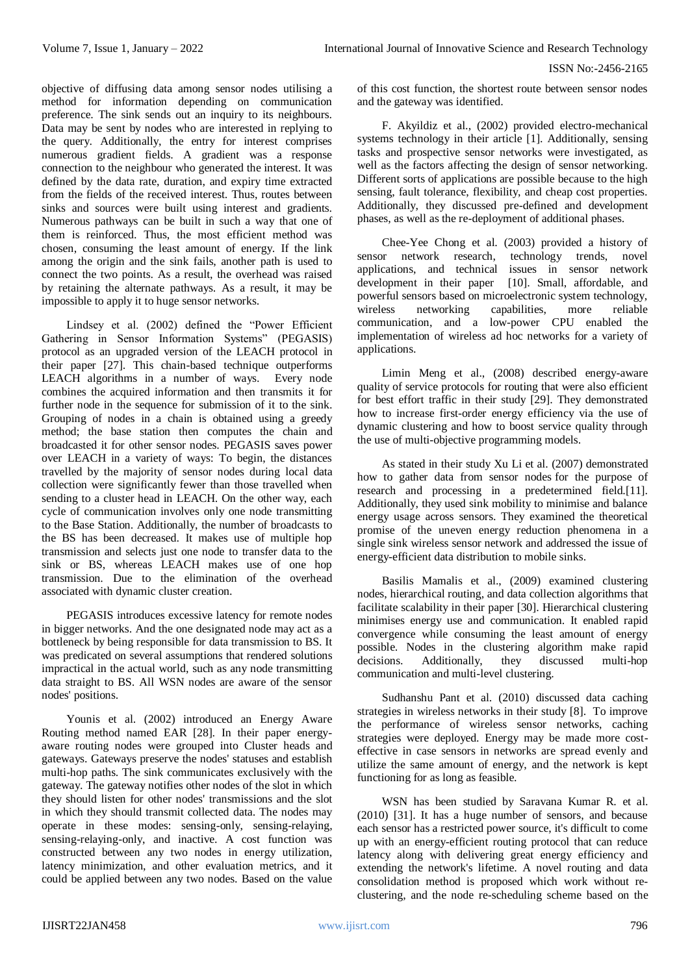objective of diffusing data among sensor nodes utilising a method for information depending on communication preference. The sink sends out an inquiry to its neighbours. Data may be sent by nodes who are interested in replying to the query. Additionally, the entry for interest comprises numerous gradient fields. A gradient was a response connection to the neighbour who generated the interest. It was defined by the data rate, duration, and expiry time extracted from the fields of the received interest. Thus, routes between sinks and sources were built using interest and gradients. Numerous pathways can be built in such a way that one of them is reinforced. Thus, the most efficient method was chosen, consuming the least amount of energy. If the link among the origin and the sink fails, another path is used to connect the two points. As a result, the overhead was raised by retaining the alternate pathways. As a result, it may be impossible to apply it to huge sensor networks.

Lindsey et al. (2002) defined the "Power Efficient Gathering in Sensor Information Systems" (PEGASIS) protocol as an upgraded version of the LEACH protocol in their paper [27]. This chain-based technique outperforms LEACH algorithms in a number of ways. Every node combines the acquired information and then transmits it for further node in the sequence for submission of it to the sink. Grouping of nodes in a chain is obtained using a greedy method; the base station then computes the chain and broadcasted it for other sensor nodes. PEGASIS saves power over LEACH in a variety of ways: To begin, the distances travelled by the majority of sensor nodes during local data collection were significantly fewer than those travelled when sending to a cluster head in LEACH. On the other way, each cycle of communication involves only one node transmitting to the Base Station. Additionally, the number of broadcasts to the BS has been decreased. It makes use of multiple hop transmission and selects just one node to transfer data to the sink or BS, whereas LEACH makes use of one hop transmission. Due to the elimination of the overhead associated with dynamic cluster creation.

PEGASIS introduces excessive latency for remote nodes in bigger networks. And the one designated node may act as a bottleneck by being responsible for data transmission to BS. It was predicated on several assumptions that rendered solutions impractical in the actual world, such as any node transmitting data straight to BS. All WSN nodes are aware of the sensor nodes' positions.

Younis et al. (2002) introduced an Energy Aware Routing method named EAR [28]. In their paper energyaware routing nodes were grouped into Cluster heads and gateways. Gateways preserve the nodes' statuses and establish multi-hop paths. The sink communicates exclusively with the gateway. The gateway notifies other nodes of the slot in which they should listen for other nodes' transmissions and the slot in which they should transmit collected data. The nodes may operate in these modes: sensing-only, sensing-relaying, sensing-relaying-only, and inactive. A cost function was constructed between any two nodes in energy utilization, latency minimization, and other evaluation metrics, and it could be applied between any two nodes. Based on the value

of this cost function, the shortest route between sensor nodes and the gateway was identified.

F. Akyildiz et al., (2002) provided electro-mechanical systems technology in their article [1]. Additionally, sensing tasks and prospective sensor networks were investigated, as well as the factors affecting the design of sensor networking. Different sorts of applications are possible because to the high sensing, fault tolerance, flexibility, and cheap cost properties. Additionally, they discussed pre-defined and development phases, as well as the re-deployment of additional phases.

Chee-Yee Chong et al. (2003) provided a history of sensor network research, technology trends, novel applications, and technical issues in sensor network development in their paper [10]. Small, affordable, and powerful sensors based on microelectronic system technology, wireless networking capabilities, more reliable communication, and a low-power CPU enabled the implementation of wireless ad hoc networks for a variety of applications.

Limin Meng et al., (2008) described energy-aware quality of service protocols for routing that were also efficient for best effort traffic in their study [29]. They demonstrated how to increase first-order energy efficiency via the use of dynamic clustering and how to boost service quality through the use of multi-objective programming models.

As stated in their study Xu Li et al. (2007) demonstrated how to gather data from sensor nodes for the purpose of research and processing in a predetermined field.[11]. Additionally, they used sink mobility to minimise and balance energy usage across sensors. They examined the theoretical promise of the uneven energy reduction phenomena in a single sink wireless sensor network and addressed the issue of energy-efficient data distribution to mobile sinks.

Basilis Mamalis et al., (2009) examined clustering nodes, hierarchical routing, and data collection algorithms that facilitate scalability in their paper [30]. Hierarchical clustering minimises energy use and communication. It enabled rapid convergence while consuming the least amount of energy possible. Nodes in the clustering algorithm make rapid decisions. Additionally, they discussed multi-hop communication and multi-level clustering.

Sudhanshu Pant et al. (2010) discussed data caching strategies in wireless networks in their study [8]. To improve the performance of wireless sensor networks, caching strategies were deployed. Energy may be made more costeffective in case sensors in networks are spread evenly and utilize the same amount of energy, and the network is kept functioning for as long as feasible.

WSN has been studied by Saravana Kumar R. et al. (2010) [31]. It has a huge number of sensors, and because each sensor has a restricted power source, it's difficult to come up with an energy-efficient routing protocol that can reduce latency along with delivering great energy efficiency and extending the network's lifetime. A novel routing and data consolidation method is proposed which work without reclustering, and the node re-scheduling scheme based on the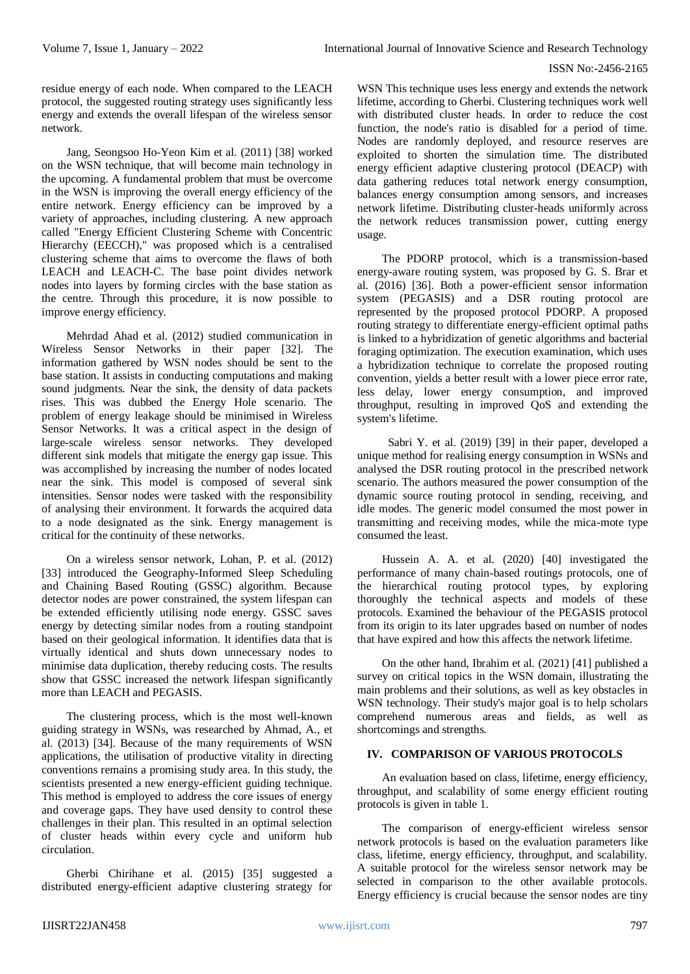residue energy of each node. When compared to the LEACH protocol, the suggested routing strategy uses significantly less energy and extends the overall lifespan of the wireless sensor network.

Jang, Seongsoo Ho-Yeon Kim et al. (2011) [38] worked on the WSN technique, that will become main technology in the upcoming. A fundamental problem that must be overcome in the WSN is improving the overall energy efficiency of the entire network. Energy efficiency can be improved by a variety of approaches, including clustering. A new approach called "Energy Efficient Clustering Scheme with Concentric Hierarchy (EECCH)," was proposed which is a centralised clustering scheme that aims to overcome the flaws of both LEACH and LEACH-C. The base point divides network nodes into layers by forming circles with the base station as the centre. Through this procedure, it is now possible to improve energy efficiency.

Mehrdad Ahad et al. (2012) studied communication in Wireless Sensor Networks in their paper [32]. The information gathered by WSN nodes should be sent to the base station. It assists in conducting computations and making sound judgments. Near the sink, the density of data packets rises. This was dubbed the Energy Hole scenario. The problem of energy leakage should be minimised in Wireless Sensor Networks. It was a critical aspect in the design of large-scale wireless sensor networks. They developed different sink models that mitigate the energy gap issue. This was accomplished by increasing the number of nodes located near the sink. This model is composed of several sink intensities. Sensor nodes were tasked with the responsibility of analysing their environment. It forwards the acquired data to a node designated as the sink. Energy management is critical for the continuity of these networks.

On a wireless sensor network, Lohan, P. et al. (2012) [33] introduced the Geography-Informed Sleep Scheduling and Chaining Based Routing (GSSC) algorithm. Because detector nodes are power constrained, the system lifespan can be extended efficiently utilising node energy. GSSC saves energy by detecting similar nodes from a routing standpoint based on their geological information. It identifies data that is virtually identical and shuts down unnecessary nodes to minimise data duplication, thereby reducing costs. The results show that GSSC increased the network lifespan significantly more than LEACH and PEGASIS.

The clustering process, which is the most well-known guiding strategy in WSNs, was researched by Ahmad, A., et al. (2013) [34]. Because of the many requirements of WSN applications, the utilisation of productive vitality in directing conventions remains a promising study area. In this study, the scientists presented a new energy-efficient guiding technique. This method is employed to address the core issues of energy and coverage gaps. They have used density to control these challenges in their plan. This resulted in an optimal selection of cluster heads within every cycle and uniform hub circulation.

Gherbi Chirihane et al. (2015) [35] suggested a distributed energy-efficient adaptive clustering strategy for WSN This technique uses less energy and extends the network lifetime, according to Gherbi. Clustering techniques work well with distributed cluster heads. In order to reduce the cost function, the node's ratio is disabled for a period of time. Nodes are randomly deployed, and resource reserves are exploited to shorten the simulation time. The distributed energy efficient adaptive clustering protocol (DEACP) with data gathering reduces total network energy consumption, balances energy consumption among sensors, and increases network lifetime. Distributing cluster-heads uniformly across the network reduces transmission power, cutting energy usage.

The PDORP protocol, which is a transmission-based energy-aware routing system, was proposed by G. S. Brar et al. (2016) [36]. Both a power-efficient sensor information system (PEGASIS) and a DSR routing protocol are represented by the proposed protocol PDORP. A proposed routing strategy to differentiate energy-efficient optimal paths is linked to a hybridization of genetic algorithms and bacterial foraging optimization. The execution examination, which uses a hybridization technique to correlate the proposed routing convention, yields a better result with a lower piece error rate, less delay, lower energy consumption, and improved throughput, resulting in improved QoS and extending the system's lifetime.

Sabri Y. et al. (2019) [39] in their paper, developed a unique method for realising energy consumption in WSNs and analysed the DSR routing protocol in the prescribed network scenario. The authors measured the power consumption of the dynamic source routing protocol in sending, receiving, and idle modes. The generic model consumed the most power in transmitting and receiving modes, while the mica-mote type consumed the least.

Hussein A. A. et al. (2020) [40] investigated the performance of many chain-based routings protocols, one of the hierarchical routing protocol types, by exploring thoroughly the technical aspects and models of these protocols. Examined the behaviour of the PEGASIS protocol from its origin to its later upgrades based on number of nodes that have expired and how this affects the network lifetime.

On the other hand, Ibrahim et al. (2021) [41] published a survey on critical topics in the WSN domain, illustrating the main problems and their solutions, as well as key obstacles in WSN technology. Their study's major goal is to help scholars comprehend numerous areas and fields, as well as shortcomings and strengths.

# **IV. COMPARISON OF VARIOUS PROTOCOLS**

An evaluation based on class, lifetime, energy efficiency, throughput, and scalability of some energy efficient routing protocols is given in table 1.

The comparison of energy-efficient wireless sensor network protocols is based on the evaluation parameters like class, lifetime, energy efficiency, throughput, and scalability. A suitable protocol for the wireless sensor network may be selected in comparison to the other available protocols. Energy efficiency is crucial because the sensor nodes are tiny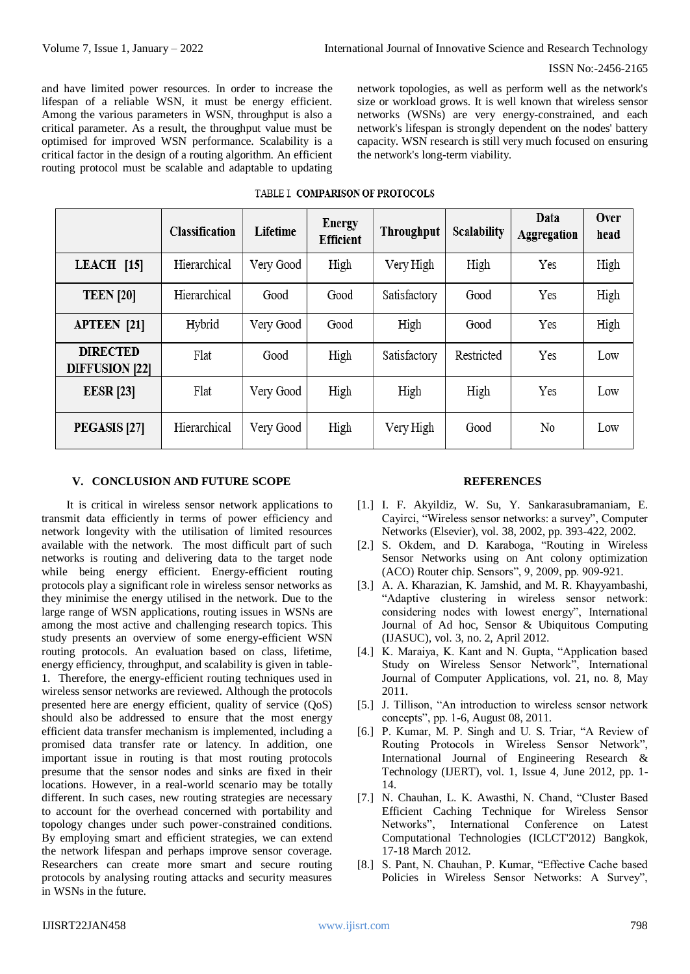and have limited power resources. In order to increase the lifespan of a reliable WSN, it must be energy efficient. Among the various parameters in WSN, throughput is also a critical parameter. As a result, the throughput value must be optimised for improved WSN performance. Scalability is a critical factor in the design of a routing algorithm. An efficient routing protocol must be scalable and adaptable to updating network topologies, as well as perform well as the network's size or workload grows. It is well known that wireless sensor networks (WSNs) are very energy-constrained, and each network's lifespan is strongly dependent on the nodes' battery capacity. WSN research is still very much focused on ensuring the network's long-term viability.

#### TABLE I. COMPARISON OF PROTOCOLS

|                                          | Classification | Lifetime  | <b>Energy</b><br>Efficient | <b>Throughput</b> | Scalability | Data<br>Aggregation | Over<br>head |
|------------------------------------------|----------------|-----------|----------------------------|-------------------|-------------|---------------------|--------------|
| $LEACH$ [15]                             | Hierarchical   | Very Good | High                       | Very High         | High        | Yes                 | High         |
| <b>TEEN</b> [20]                         | Hierarchical   | Good      | Good                       | Satisfactory      | Good        | Yes                 | High         |
| <b>APTEEN</b> [21]                       | Hybrid         | Very Good | Good                       | High              | Good        | Yes                 | High         |
| <b>DIRECTED</b><br><b>DIFFUSION [22]</b> | Flat           | Good      | High                       | Satisfactory      | Restricted  | Yes                 | Low          |
| <b>EESR</b> [23]                         | Flat           | Very Good | High                       | High              | High        | Yes                 | Low          |
| PEGASIS [27]                             | Hierarchical   | Very Good | High                       | Very High         | Good        | No                  | Low          |

# **V. CONCLUSION AND FUTURE SCOPE**

It is critical in wireless sensor network applications to transmit data efficiently in terms of power efficiency and network longevity with the utilisation of limited resources available with the network. The most difficult part of such networks is routing and delivering data to the target node while being energy efficient. Energy-efficient routing protocols play a significant role in wireless sensor networks as they minimise the energy utilised in the network. Due to the large range of WSN applications, routing issues in WSNs are among the most active and challenging research topics. This study presents an overview of some energy-efficient WSN routing protocols. An evaluation based on class, lifetime, energy efficiency, throughput, and scalability is given in table-1. Therefore, the energy-efficient routing techniques used in wireless sensor networks are reviewed. Although the protocols presented here are energy efficient, quality of service (QoS) should also be addressed to ensure that the most energy efficient data transfer mechanism is implemented, including a promised data transfer rate or latency. In addition, one important issue in routing is that most routing protocols presume that the sensor nodes and sinks are fixed in their locations. However, in a real-world scenario may be totally different. In such cases, new routing strategies are necessary to account for the overhead concerned with portability and topology changes under such power-constrained conditions. By employing smart and efficient strategies, we can extend the network lifespan and perhaps improve sensor coverage. Researchers can create more smart and secure routing protocols by analysing routing attacks and security measures in WSNs in the future.

# **REFERENCES**

- [1.] I. F. Akyildiz, W. Su, Y. Sankarasubramaniam, E. Cayirci, "Wireless sensor networks: a survey", Computer Networks (Elsevier), vol. 38, 2002, pp. 393-422, 2002.
- [2.] S. Okdem, and D. Karaboga, "Routing in Wireless Sensor Networks using on Ant colony optimization (ACO) Router chip. Sensors", 9, 2009, pp. 909-921.
- [3.] A. A. Kharazian, K. Jamshid, and M. R. Khayyambashi, "Adaptive clustering in wireless sensor network: considering nodes with lowest energy", International Journal of Ad hoc, Sensor & Ubiquitous Computing (IJASUC), vol. 3, no. 2, April 2012.
- [4.] K. Maraiya, K. Kant and N. Gupta, "Application based Study on Wireless Sensor Network", International Journal of Computer Applications, vol. 21, no. 8, May 2011.
- [5.] J. Tillison, "An introduction to wireless sensor network concepts", pp. 1-6, August 08, 2011.
- [6.] P. Kumar, M. P. Singh and U. S. Triar, "A Review of Routing Protocols in Wireless Sensor Network", International Journal of Engineering Research & Technology (IJERT), vol. 1, Issue 4, June 2012, pp. 1- 14.
- [7.] N. Chauhan, L. K. Awasthi, N. Chand, "Cluster Based Efficient Caching Technique for Wireless Sensor Networks", International Conference on Latest Computational Technologies (ICLCT'2012) Bangkok, 17-18 March 2012.
- [8.] S. Pant, N. Chauhan, P. Kumar, "Effective Cache based Policies in Wireless Sensor Networks: A Survey",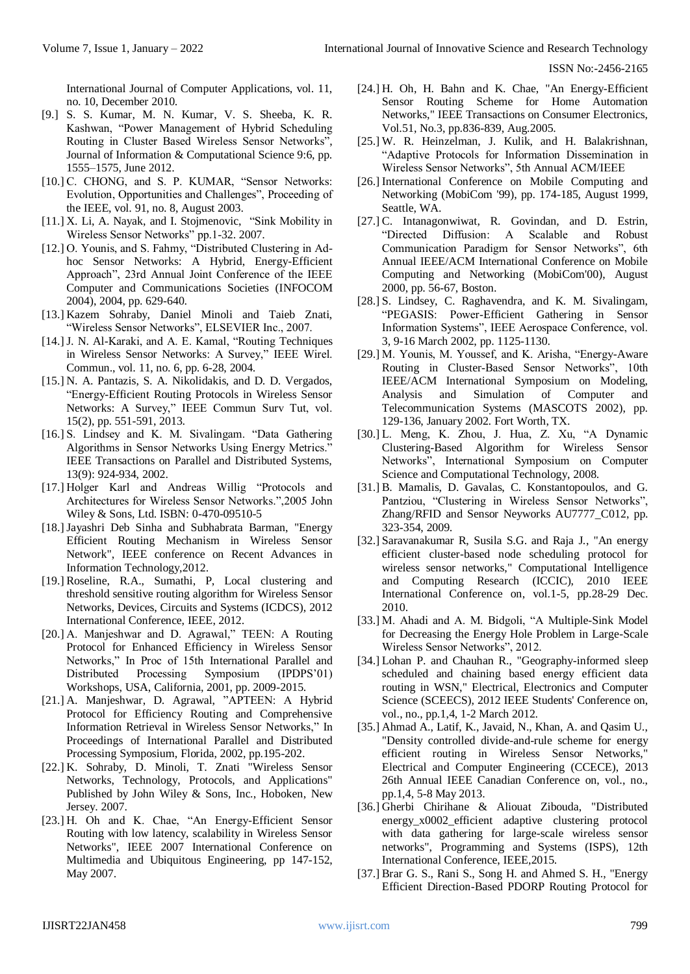International Journal of Computer Applications, vol. 11, no. 10, December 2010.

- [9.] S. S. Kumar, M. N. Kumar, V. S. Sheeba, K. R. Kashwan, "Power Management of Hybrid Scheduling Routing in Cluster Based Wireless Sensor Networks", Journal of Information & Computational Science 9:6, pp. 1555–1575, June 2012.
- [10.] C. CHONG, and S. P. KUMAR, "Sensor Networks: Evolution, Opportunities and Challenges", Proceeding of the IEEE, vol. 91, no. 8, August 2003.
- [11.] X. Li, A. Nayak, and I. Stojmenovic, "Sink Mobility in Wireless Sensor Networks" pp.1-32. 2007.
- [12.] O. Younis, and S. Fahmy, "Distributed Clustering in Adhoc Sensor Networks: A Hybrid, Energy-Efficient Approach", 23rd Annual Joint Conference of the IEEE Computer and Communications Societies (INFOCOM 2004), 2004, pp. 629-640.
- [13.] Kazem Sohraby, Daniel Minoli and Taieb Znati, "Wireless Sensor Networks", ELSEVIER Inc., 2007.
- [14.] J. N. Al-Karaki, and A. E. Kamal, "Routing Techniques" in Wireless Sensor Networks: A Survey," IEEE Wirel. Commun., vol. 11, no. 6, pp. 6-28, 2004.
- [15.] N. A. Pantazis, S. A. Nikolidakis, and D. D. Vergados, "Energy-Efficient Routing Protocols in Wireless Sensor Networks: A Survey," IEEE Commun Surv Tut, vol. 15(2), pp. 551-591, 2013.
- [16.] S. Lindsey and K. M. Sivalingam. "Data Gathering Algorithms in Sensor Networks Using Energy Metrics." IEEE Transactions on Parallel and Distributed Systems, 13(9): 924-934, 2002.
- [17.] Holger Karl and Andreas Willig "Protocols and Architectures for Wireless Sensor Networks.",2005 John Wiley & Sons, Ltd. ISBN: 0-470-09510-5
- [18.]Jayashri Deb Sinha and Subhabrata Barman, "Energy Efficient Routing Mechanism in Wireless Sensor Network", IEEE conference on Recent Advances in Information Technology,2012.
- [19.] Roseline, R.A., Sumathi, P, Local clustering and threshold sensitive routing algorithm for Wireless Sensor Networks, Devices, Circuits and Systems (ICDCS), 2012 International Conference, IEEE, 2012.
- [20.] A. Manjeshwar and D. Agrawal," TEEN: A Routing Protocol for Enhanced Efficiency in Wireless Sensor Networks," In Proc of 15th International Parallel and Distributed Processing Symposium (IPDPS'01) Workshops, USA, California, 2001, pp. 2009-2015.
- [21.] A. Manjeshwar, D. Agrawal, "APTEEN: A Hybrid Protocol for Efficiency Routing and Comprehensive Information Retrieval in Wireless Sensor Networks," In Proceedings of International Parallel and Distributed Processing Symposium, Florida, 2002, pp.195-202.
- [22.] K. Sohraby, D. Minoli, T. Znati "Wireless Sensor Networks, Technology, Protocols, and Applications" Published by John Wiley & Sons, Inc., Hoboken, New Jersey. 2007.
- [23.] H. Oh and K. Chae, "An Energy-Efficient Sensor Routing with low latency, scalability in Wireless Sensor Networks", IEEE 2007 International Conference on Multimedia and Ubiquitous Engineering, pp 147-152, May 2007.
- [24.] H. Oh, H. Bahn and K. Chae, "An Energy-Efficient Sensor Routing Scheme for Home Automation Networks," IEEE Transactions on Consumer Electronics, Vol.51, No.3, pp.836-839, Aug.2005.
- [25.] W. R. Heinzelman, J. Kulik, and H. Balakrishnan, "Adaptive Protocols for Information Dissemination in Wireless Sensor Networks", 5th Annual ACM/IEEE
- [26.] International Conference on Mobile Computing and Networking (MobiCom '99), pp. 174-185, August 1999, Seattle, WA.
- [27.] C. Intanagonwiwat, R. Govindan, and D. Estrin, "Directed Diffusion: A Scalable and Robust Communication Paradigm for Sensor Networks", 6th Annual IEEE/ACM International Conference on Mobile Computing and Networking (MobiCom'00), August 2000, pp. 56-67, Boston.
- [28.] S. Lindsey, C. Raghavendra, and K. M. Sivalingam, "PEGASIS: Power-Efficient Gathering in Sensor Information Systems", IEEE Aerospace Conference, vol. 3, 9-16 March 2002, pp. 1125-1130.
- [29.] M. Younis, M. Youssef, and K. Arisha, "Energy-Aware Routing in Cluster-Based Sensor Networks", 10th IEEE/ACM International Symposium on Modeling, Analysis and Simulation of Computer and Telecommunication Systems (MASCOTS 2002), pp. 129-136, January 2002. Fort Worth, TX.
- [30.] L. Meng, K. Zhou, J. Hua, Z. Xu, "A Dynamic Clustering-Based Algorithm for Wireless Sensor Networks", International Symposium on Computer Science and Computational Technology, 2008.
- [31.] B. Mamalis, D. Gavalas, C. Konstantopoulos, and G. Pantziou, "Clustering in Wireless Sensor Networks", Zhang/RFID and Sensor Neyworks AU7777\_C012, pp. 323-354, 2009.
- [32.] Saravanakumar R, Susila S.G. and Raja J., "An energy efficient cluster-based node scheduling protocol for wireless sensor networks," Computational Intelligence and Computing Research (ICCIC), 2010 IEEE International Conference on, vol.1-5, pp.28-29 Dec. 2010.
- [33.] M. Ahadi and A. M. Bidgoli, "A Multiple-Sink Model for Decreasing the Energy Hole Problem in Large-Scale Wireless Sensor Networks", 2012.
- [34.] Lohan P. and Chauhan R., "Geography-informed sleep scheduled and chaining based energy efficient data routing in WSN," Electrical, Electronics and Computer Science (SCEECS), 2012 IEEE Students' Conference on, vol., no., pp.1,4, 1-2 March 2012.
- [35.] Ahmad A., Latif, K., Javaid, N., Khan, A. and Qasim U., "Density controlled divide-and-rule scheme for energy efficient routing in Wireless Sensor Networks," Electrical and Computer Engineering (CCECE), 2013 26th Annual IEEE Canadian Conference on, vol., no., pp.1,4, 5-8 May 2013.
- [36.] Gherbi Chirihane & Aliouat Zibouda, "Distributed energy\_x0002\_efficient adaptive clustering protocol with data gathering for large-scale wireless sensor networks", Programming and Systems (ISPS), 12th International Conference, IEEE,2015.
- [37.] Brar G. S., Rani S., Song H. and Ahmed S. H., "Energy Efficient Direction-Based PDORP Routing Protocol for